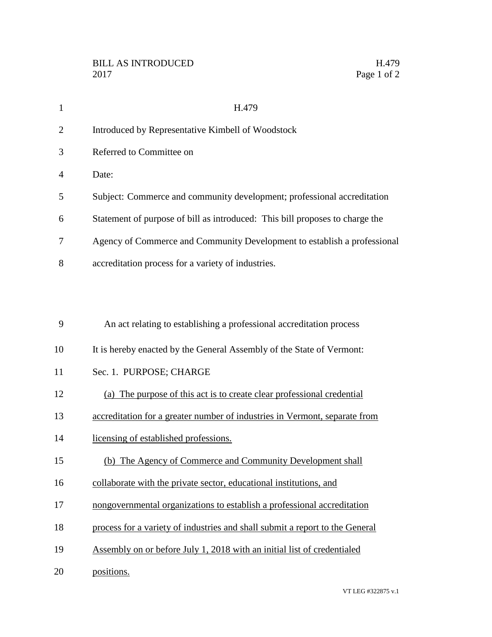| 1              | H.479                                                                        |
|----------------|------------------------------------------------------------------------------|
| $\overline{2}$ | Introduced by Representative Kimbell of Woodstock                            |
| 3              | Referred to Committee on                                                     |
| 4              | Date:                                                                        |
| 5              | Subject: Commerce and community development; professional accreditation      |
| 6              | Statement of purpose of bill as introduced: This bill proposes to charge the |
| 7              | Agency of Commerce and Community Development to establish a professional     |
| 8              | accreditation process for a variety of industries.                           |
|                |                                                                              |
|                |                                                                              |
| 9              | An act relating to establishing a professional accreditation process         |
| 10             | It is hereby enacted by the General Assembly of the State of Vermont:        |
| 11             | Sec. 1. PURPOSE; CHARGE                                                      |
| 12             | (a) The purpose of this act is to create clear professional credential       |
| 13             | accreditation for a greater number of industries in Vermont, separate from   |
| 14             | licensing of established professions.                                        |
| 15             | (b) The Agency of Commerce and Community Development shall                   |
| 16             | collaborate with the private sector, educational institutions, and           |
| 17             | nongovernmental organizations to establish a professional accreditation      |
| 18             | process for a variety of industries and shall submit a report to the General |
| 19             | Assembly on or before July 1, 2018 with an initial list of credentialed      |
| 20             | positions.                                                                   |